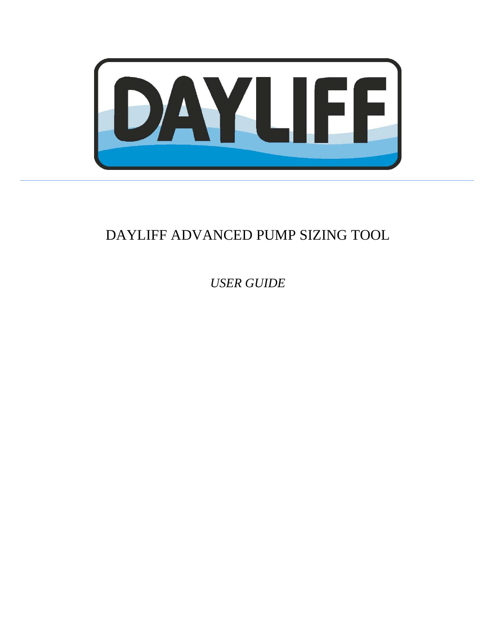

# DAYLIFF ADVANCED PUMP SIZING TOOL

*USER GUIDE*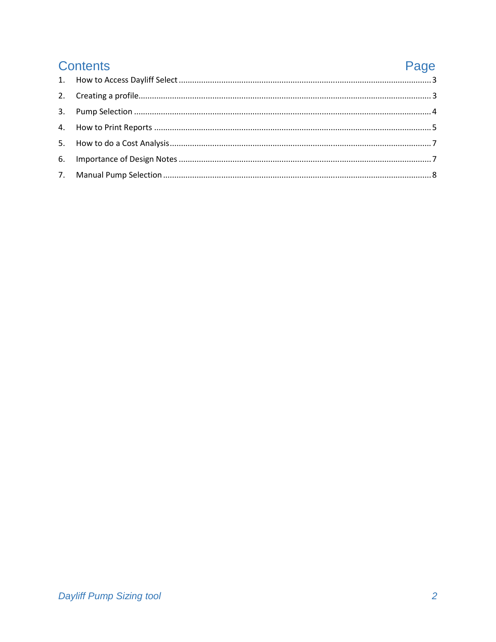| <b>Contents</b> | Page |
|-----------------|------|
|                 |      |
|                 |      |
|                 |      |
|                 |      |
|                 |      |
|                 |      |
|                 |      |
|                 |      |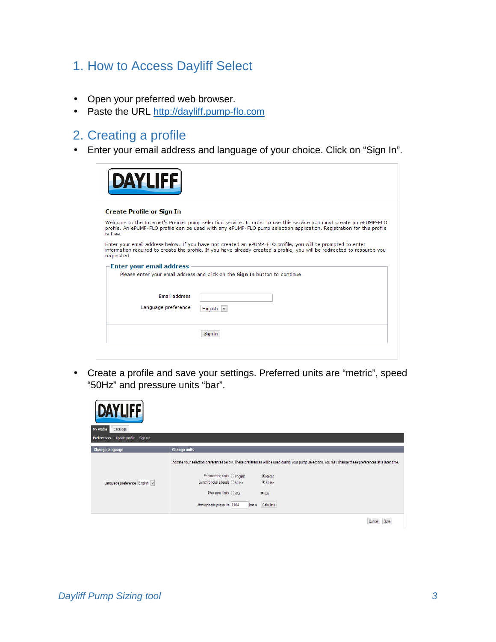### 1. How to Access Dayliff Select

- Open your preferred web browser.
- Paste the URL http://dayliff.pump-flo.com

### 2. Creating a profile

• Enter your email address and language of your choice. Click on "Sign In".

| Welcome to the Internet's Premier pump selection service. In order to use this service you must create an ePUMP-FLO<br>profile. An ePUMP-FLO profile can be used with any ePUMP-FLO pump selection application. Registration for this profile                                                                            |
|--------------------------------------------------------------------------------------------------------------------------------------------------------------------------------------------------------------------------------------------------------------------------------------------------------------------------|
|                                                                                                                                                                                                                                                                                                                          |
|                                                                                                                                                                                                                                                                                                                          |
| Enter your email address below. If you have not created an ePUMP-FLO profile, you will be prompted to enter<br>information required to create the profile. If you have already created a profile, you will be redirected to resource you<br>Please enter your email address and click on the Sign In button to continue. |
|                                                                                                                                                                                                                                                                                                                          |
|                                                                                                                                                                                                                                                                                                                          |
|                                                                                                                                                                                                                                                                                                                          |

• Create a profile and save your settings. Preferred units are "metric", speed "50Hz" and pressure units "bar".

| <b>DAYLIFE</b>                          |                                                                                                                                           |                                                                                                                                                                                                               |
|-----------------------------------------|-------------------------------------------------------------------------------------------------------------------------------------------|---------------------------------------------------------------------------------------------------------------------------------------------------------------------------------------------------------------|
| My Profile<br>Catalogs                  |                                                                                                                                           |                                                                                                                                                                                                               |
| Preferences   Update profile   Sign out |                                                                                                                                           |                                                                                                                                                                                                               |
| <b>Change language</b>                  | <b>Change units</b>                                                                                                                       |                                                                                                                                                                                                               |
| Language preference English             | Engineering units $\bigcirc$ English<br>Synchronous speeds $\bigcirc$ 60 Hz<br>Pressure Units ○kPa<br>Atmospheric pressure 1.014<br>bar a | Indicate your selection preferences below. These preferences will be used during your pump selections. You may change these preferences at a later time.<br>O Metric<br>$\odot$ 50 Hz<br>$•$ bar<br>Calculate |
|                                         |                                                                                                                                           | the contract of the con-                                                                                                                                                                                      |

 $\texttt{Cancel} \quad \texttt{Save}$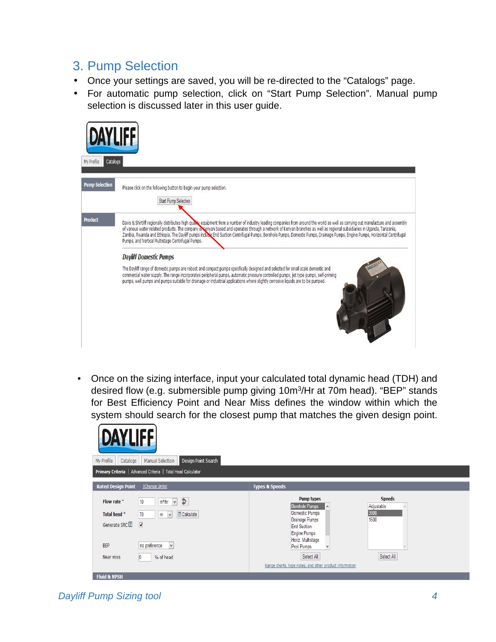#### 3. Pump Selection

- Once your settings are saved, you will be re-directed to the "Catalogs" page.
- For automatic pump selection, click on "Start Pump Selection". Manual pump selection is discussed later in this user guide.

| <b>DAYLIFF</b><br>Catalogs<br>My Profile |                                                                                                                                                                                                                                                                                                                                                                                                                                                                                                                                                                                                                                                                                                                                                                                                                                                                                                                                                                                                                                            |
|------------------------------------------|--------------------------------------------------------------------------------------------------------------------------------------------------------------------------------------------------------------------------------------------------------------------------------------------------------------------------------------------------------------------------------------------------------------------------------------------------------------------------------------------------------------------------------------------------------------------------------------------------------------------------------------------------------------------------------------------------------------------------------------------------------------------------------------------------------------------------------------------------------------------------------------------------------------------------------------------------------------------------------------------------------------------------------------------|
| <b>Pump Selection</b>                    | Please click on the following button to begin your pump selection.<br>Start Pump Selection                                                                                                                                                                                                                                                                                                                                                                                                                                                                                                                                                                                                                                                                                                                                                                                                                                                                                                                                                 |
| <b>Product</b>                           | Davis & Shirtliff regionally distributes high quality equipment from a number of industry leading companies from around the world as well as carrying out manufacture and assembly<br>of various water related products. The company is convased and operates through a network of Kenyan branches as well as regional subsidiaries in Uganda, Tanzania,<br>Zambia, Rwanda and Ethiopia. The Dayliff pumps inclube End Suction Centrifugal Pumps, Borehole Pumps, Domestic Pumps, Drainage Pumps, Engine Pumps, Horizontal Centrifugal<br>Pumps, and Vertical Multistage Centrifugal Pumps.<br><b>Dayliff Domestic Pumps</b><br>The Dayliff range of domestic pumps are robust and compact pumps specifically designed and selected for small scale domestic and<br>commercial water supply. The range incorporates peripheral pumps, automatic pressure controlled pumps, jet type pumps, self-priming<br>pumps, well pumps and pumps suitable for drainage or industrial applications where slightly corrosive liquids are to be pumped. |

• Once on the sizing interface, input your calculated total dynamic head (TDH) and desired flow (e.g. submersible pump giving 10m<sup>3</sup>/Hr at 70m head). "BEP" stands for Best Efficiency Point and Near Miss defines the window within which the system should search for the closest pump that matches the given design point.

| <b>DAYLIFF</b><br>Design Point Search<br>My Profile<br>Manual Selection<br>Catalogs                                                                                                                                     |                                                                                                                                                           |                                             |
|-------------------------------------------------------------------------------------------------------------------------------------------------------------------------------------------------------------------------|-----------------------------------------------------------------------------------------------------------------------------------------------------------|---------------------------------------------|
| Primary Criteria   Advanced Criteria   Total Head Calculator                                                                                                                                                            |                                                                                                                                                           |                                             |
| <b>Rated Design Point</b><br>(Change Units)                                                                                                                                                                             | <b>Types &amp; Speeds</b>                                                                                                                                 |                                             |
| $\frac{\Phi}{\Phi}$<br>Flow rate *<br>m <sup>8</sup> /hr<br>10<br>$\vee$<br>Calculate<br>Total head *<br>70<br>m<br>V<br>$\overline{\blacktriangledown}$<br>Generate SRC <sup>2</sup><br>$\vee$<br>no preference<br>BEP | Pump types<br>Borehole Pumps<br>$\lambda$<br>Domestic Pumps<br>Drainage Pumps<br>End Suction<br>Engine Pumps<br>Horiz. Multistage<br>Pool Pumps<br>$\vee$ | <b>Speeds</b><br>Adjustable<br>3000<br>1500 |
| % of head<br>Near miss<br>0                                                                                                                                                                                             | Select All                                                                                                                                                | Select All                                  |

Dayliff Pump Sizing tool 4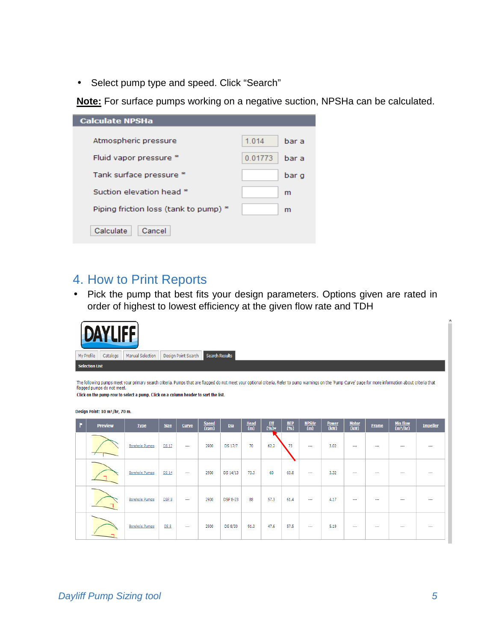• Select pump type and speed. Click "Search"

**Note:** For surface pumps working on a negative suction, NPSHa can be calculated.

| <b>Calculate NPSHa</b>                |         |       |
|---------------------------------------|---------|-------|
|                                       |         |       |
| Atmospheric pressure                  | 1.014   | bar a |
| Fluid vapor pressure *                | 0.01773 | bar a |
|                                       |         |       |
| Tank surface pressure *               |         | bar g |
| Suction elevation head *              |         | m     |
| Piping friction loss (tank to pump) * |         | m     |
|                                       |         |       |
| Cancel<br>Calculate                   |         |       |
|                                       |         |       |

#### 4. How to Print Reports

• Pick the pump that best fits your design parameters. Options given are rated in order of highest to lowest efficiency at the given flow rate and TDH

| <b>DAYLIFF</b><br>Design Point Search<br><b>Search Results</b><br>My Profile<br>Catalogs<br>Manual Selection<br><b>Selection List</b><br>The following pumps meet your primary search criteria. Pumps that are flagged do not meet your optional criteria. Refer to pump warnings on the 'Pump Curve' page for more information about criteria that<br>flagged pumps do not meet.<br>Click on the pump row to select a pump. Click on a column header to sort the list. |                |                       |                  |          |                |                 |                    |                 |                 |                                |                      |                |              |                                                  |                 |
|-------------------------------------------------------------------------------------------------------------------------------------------------------------------------------------------------------------------------------------------------------------------------------------------------------------------------------------------------------------------------------------------------------------------------------------------------------------------------|----------------|-----------------------|------------------|----------|----------------|-----------------|--------------------|-----------------|-----------------|--------------------------------|----------------------|----------------|--------------|--------------------------------------------------|-----------------|
| Design Point: 10 m <sup>3</sup> /hr, 70 m.                                                                                                                                                                                                                                                                                                                                                                                                                              |                |                       |                  |          |                |                 |                    |                 |                 |                                |                      |                |              |                                                  |                 |
|                                                                                                                                                                                                                                                                                                                                                                                                                                                                         | <b>Preview</b> | <b>Type</b>           | <b>Size</b>      | Curve    | Speed<br>(rpm) | Dia             | $\frac{Head}{(m)}$ | $rac{Eff}{(%)}$ | $rac{BEP}{(%)}$ | <b>NPSHr</b><br>$\overline{m}$ | <b>Power</b><br>(kW) | Motor<br>(kW)  | <b>Frame</b> | $\frac{\text{Min flow}}{\text{(m}^3/\text{hr)}}$ | <b>Impeller</b> |
|                                                                                                                                                                                                                                                                                                                                                                                                                                                                         |                | <b>Borehole Pumps</b> | <b>DS 17</b>     | $\cdots$ | 2900           | <b>DS 17/7</b>  | 70                 | 62.2            | 73              |                                | 3.02                 | $\overline{a}$ | ---          |                                                  |                 |
|                                                                                                                                                                                                                                                                                                                                                                                                                                                                         |                | <b>Borehole Pumps</b> | <b>DS 14</b>     | $\cdots$ | 2900           | DS 14/13        | 73.3               | 60              | 60.8            | $\ddotsc$                      | 3.32                 | $\overline{a}$ | ---          | $\cdots$                                         | $\cdots$        |
|                                                                                                                                                                                                                                                                                                                                                                                                                                                                         |                | <b>Borehole Pumps</b> | DSP <sub>8</sub> | $\sim$   | 2900           | <b>DSP 8-23</b> | 88                 | 57.3            | 61.4            |                                | 4.17                 | $\cdots$       | $\ddotsc$    |                                                  | ---             |
|                                                                                                                                                                                                                                                                                                                                                                                                                                                                         |                | Borehole Pumps        | DS <sub>8</sub>  | $\cdots$ | 2900           | DS 8/30         | 91.3               | 47.6            | 57.5            |                                | 5.19                 | $\ddotsc$      |              |                                                  |                 |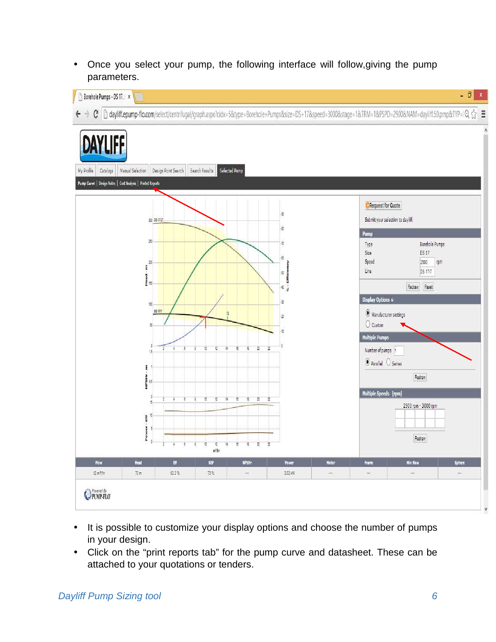• Once you select your pump, the following interface will follow,giving the pump parameters.



- It is possible to customize your display options and choose the number of pumps in your design.
- Click on the "print reports tab" for the pump curve and datasheet. These can be attached to your quotations or tenders.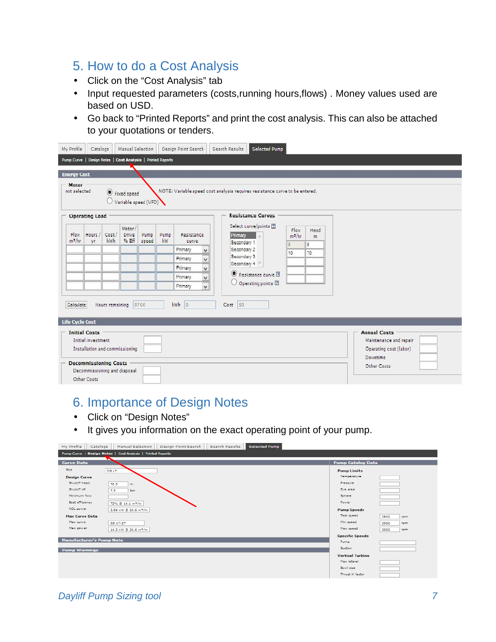#### 5. How to do a Cost Analysis

- Click on the "Cost Analysis" tab
- Input requested parameters (costs,running hours,flows) . Money values used are based on USD.
- Go back to "Printed Reports" and print the cost analysis. This can also be attached to your quotations or tenders.

| My Profile<br><b>Energy Cost</b><br>Motor<br>not selected | Catalogs                                    |       | Manual Selection<br>Pump Curve   Design Notes   Cost Analysis   Printed Reports |       |      | Design Point Search |                      | Search Results             | <b>Selected Pump</b><br>NOTE: Variable speed cost analysis requires resistance curve to be entered. |                  |                      |                                                                         |
|-----------------------------------------------------------|---------------------------------------------|-------|---------------------------------------------------------------------------------|-------|------|---------------------|----------------------|----------------------------|-----------------------------------------------------------------------------------------------------|------------------|----------------------|-------------------------------------------------------------------------|
|                                                           | <b>Operating Load</b>                       |       | Fixed speed<br>Variable speed (VFD)                                             |       |      |                     |                      |                            | <b>Resistance Curves</b>                                                                            |                  |                      |                                                                         |
| Flow                                                      | Hours                                       | Cost/ | Motor/<br>Drive                                                                 | Pump  | Pump | Resistance          |                      | Primary                    | Select curve/points 图                                                                               | Flow<br>$m^2/hr$ | Head<br>$\mathbf{m}$ |                                                                         |
| $m^2/hr$                                                  | уг                                          | kwh   | % Eff                                                                           | speed | kW   | curve               |                      | Secondary 1                |                                                                                                     | O.               | $\overline{0}$       |                                                                         |
|                                                           |                                             |       |                                                                                 |       |      | Primary             | $\check{\mathbf{v}}$ | Secondary 2                |                                                                                                     | 10 <sub>1</sub>  | 70                   |                                                                         |
|                                                           |                                             |       |                                                                                 |       |      | Primary             | $\checkmark$         | Secondary 3<br>Secondary 4 |                                                                                                     |                  |                      |                                                                         |
|                                                           |                                             |       |                                                                                 |       |      | Primary             | $\checkmark$         |                            | Resistance curve [1]                                                                                |                  |                      |                                                                         |
|                                                           |                                             |       |                                                                                 |       |      | Primary             | v                    |                            | O Operating points [7]                                                                              |                  |                      |                                                                         |
|                                                           |                                             |       |                                                                                 |       |      | Primary             | $\checkmark$         |                            |                                                                                                     |                  |                      |                                                                         |
| Calculate<br>Life Cycle Cost                              |                                             |       | Hours remaining 8760                                                            |       |      | kwh 0               |                      | Cost 50                    |                                                                                                     |                  |                      |                                                                         |
|                                                           | <b>Initial Costs</b><br>Initial investment  |       | Installation and commissioning                                                  |       |      |                     |                      |                            |                                                                                                     |                  |                      | <b>Annual Costs</b><br>Maintenance and repair<br>Operating cost (labor) |
|                                                           | <b>Decommissioning Costs</b><br>Other Costs |       | Decommissioning and disposal                                                    |       |      |                     |                      |                            |                                                                                                     |                  |                      | Downtime<br>Other Costs                                                 |

#### 6. Importance of Design Notes

- Click on "Design Notes"
- It gives you information on the exact operating point of your pump.

| My Profile<br>Catalogs          | <b>Manual Selection</b>                                     | Design Point Search | Search Results | <b>Selected Pump</b> |                          |             |
|---------------------------------|-------------------------------------------------------------|---------------------|----------------|----------------------|--------------------------|-------------|
|                                 | Pump Curve   Design Notes   Cost Analysis   Printed Reports |                     |                |                      |                          |             |
| <b>Curve Data</b>               |                                                             |                     |                |                      | <b>Pump Catalog Data</b> |             |
| Size                            | <b>DS 17</b>                                                |                     |                |                      | <b>Pump Limits</b>       |             |
| <b>Design Curve</b>             |                                                             |                     |                |                      | Temperature              |             |
| Shuton head                     | 76.5<br>m                                                   |                     |                |                      | Pressure                 |             |
| Shutoff dP                      | 7.5<br>bar                                                  |                     |                |                      | Eye area                 |             |
| Minimum flow                    |                                                             |                     |                |                      | Sphere                   |             |
| <b>Best efficiency</b>          | 73% @ 14.1 m <sup>3/hr</sup>                                |                     |                |                      | Power                    |             |
| NOL power                       | 3.56 kW @ 20.6 m <sup>3</sup> /hr                           |                     |                |                      | <b>Pump Speeds</b>       |             |
| <b>Max Curve Data</b>           |                                                             |                     |                |                      | Test speed               | 2900<br>rpm |
| Max curve                       | DS 17/27                                                    |                     |                |                      | Min speed                | 2900<br>rpm |
| Max power                       | 14.3 kW @ 20.6 m <sup>3</sup> /hr                           |                     |                |                      | Max speed                | 3000<br>rpm |
| <b>Manufacturer's Pump Note</b> |                                                             |                     |                |                      | <b>Specific Speeds</b>   |             |
|                                 |                                                             |                     |                |                      | Pump                     |             |
| <b>Pump Warnings</b>            |                                                             |                     |                |                      | Suction                  |             |
|                                 |                                                             |                     |                |                      | <b>Vertical Turbine</b>  |             |
|                                 |                                                             |                     |                |                      | Max lateral<br>Bowl size |             |
|                                 |                                                             |                     |                |                      | Thrust K factor          |             |
|                                 |                                                             |                     |                |                      |                          |             |

#### Dayliff Pump Sizing tool 7